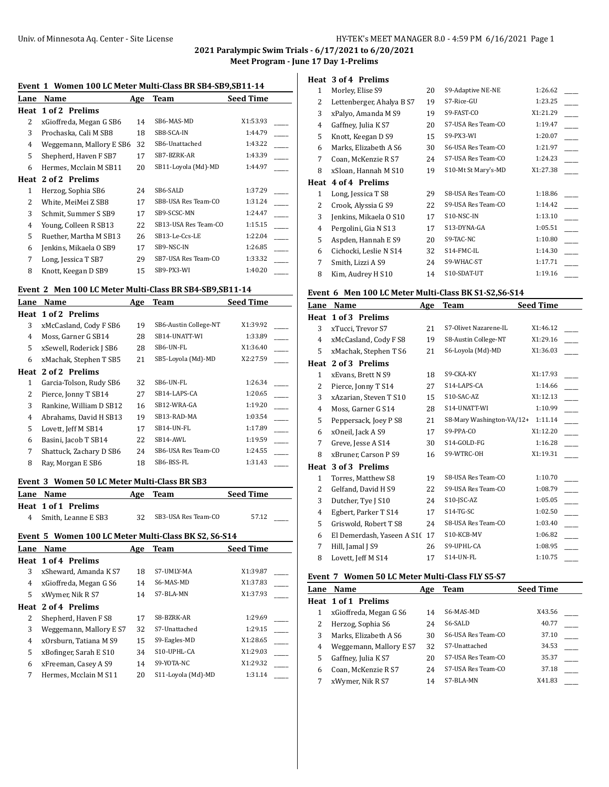**2021 Paralympic Swim Trials - 6/17/2021 to 6/20/2021**

**Meet Program - June 17 Day 1-Prelims**

### **Event 1 Women 100 LC Meter Multi-Class BR SB4-SB9,SB11-14**

| Lane | Name                     | Age | Team                 | <b>Seed Time</b> |
|------|--------------------------|-----|----------------------|------------------|
| Heat | 1 of 2 Prelims           |     |                      |                  |
| 2    | xGioffreda, Megan G SB6  | 14  | SB6-MAS-MD           | X1:53.93         |
| 3    | Prochaska, Cali M SB8    | 18  | SB8-SCA-IN           | 1:44.79          |
| 4    | Weggemann, Mallory E SB6 | 32  | SB6-Unattached       | 1:43.22          |
| 5    | Shepherd, Haven F SB7    | 17  | SB7-BZRK-AR          | 1:43.39          |
| 6    | Hermes, Mcclain M SB11   | 20  | SB11-Loyola (Md)-MD  | 1:44.97          |
| Heat | 2 of 2 Prelims           |     |                      |                  |
| 1    | Herzog, Sophia SB6       | 24  | SB6-SALD             | 1:37.29          |
| 2    | White, MeiMei Z SB8      | 17  | SB8-USA Res Team-CO  | 1:31.24          |
| 3    | Schmit, Summer S SB9     | 17  | SB9-SCSC-MN          | 1:24.47          |
| 4    | Young, Colleen R SB13    | 22  | SB13-USA Res Team-CO | 1:15.15          |
| 5    | Ruether, Martha M SB13   | 26  | SB13-Le-Ccs-LE       | 1:22.04          |
| 6    | Jenkins, Mikaela O SB9   | 17  | SB9-NSC-IN           | 1:26.85          |
| 7    | Long, Jessica T SB7      | 29  | SB7-USA Res Team-CO  | 1:33.32          |
| 8    | Knott, Keegan D SB9      | 15  | SB9-PX3-WI           | 1:40.20          |

### **Event 2 Men 100 LC Meter Multi-Class BR SB4-SB9,SB11-14**

| Name                    | Age                                        | <b>Team</b>           | <b>Seed Time</b> |
|-------------------------|--------------------------------------------|-----------------------|------------------|
|                         |                                            |                       |                  |
| xMcCasland, Cody F SB6  | 19                                         | SB6-Austin College-NT | X1:39.92         |
| Moss, Garner G SB14     | 28                                         | SB14-UNATT-WI         | 1:33.89          |
| xSewell, Roderick J SB6 | 28                                         | SB6-UN-FL             | X1:36.40         |
| xMachak, Stephen T SB5  | 21                                         | SB5-Loyola (Md)-MD    | X2:27.59         |
| 2 of 2 Prelims          |                                            |                       |                  |
| Garcia-Tolson, Rudy SB6 | 32                                         | SB6-UN-FL             | 1:26.34          |
| Pierce, Jonny T SB14    | 27                                         | SB14-LAPS-CA          | 1:20.65          |
| Rankine, William D SB12 | 16                                         | SB12-WRA-GA           | 1:19.20          |
| Abrahams, David H SB13  | 19                                         | SB13-RAD-MA           | 1:03.54          |
| Lovett, Jeff M SB14     | 17                                         | SB14-UN-FL            | 1:17.89          |
| Basini, Jacob T SB14    | 22                                         | SB14-AWL              | 1:19.59          |
| Shattuck, Zachary D SB6 | 24                                         | SB6-USA Res Team-CO   | 1:24.55          |
| Ray, Morgan E SB6       | 18                                         | SB6-BSS-FL            | 1:31.43          |
|                         | Lane<br><b>Heat 1 of 2 Prelims</b><br>Heat |                       |                  |

### **Event 3 Women 50 LC Meter Multi-Class BR SB3**

| Lane Name             | Age | Team                | <b>Seed Time</b> |
|-----------------------|-----|---------------------|------------------|
| Heat 1 of 1 Prelims   |     |                     |                  |
| 4 Smith, Leanne E SB3 | 32. | SB3-USA Res Team-CO | 57.12            |

# **Event 5 Women 100 LC Meter Multi-Class BK S2, S6-S14**

| Lane | Name                       | Age | Team               | <b>Seed Time</b> |
|------|----------------------------|-----|--------------------|------------------|
|      | <b>Heat 1 of 4 Prelims</b> |     |                    |                  |
| 3    | xSheward, Amanda K S7      | 18  | S7-UMLY-MA         | X1:39.87         |
| 4    | xGioffreda, Megan G S6     | 14  | S6-MAS-MD          | X1:37.83         |
| 5    | xWymer, Nik R S7           | 14  | S7-BLA-MN          | X1:37.93         |
|      | Heat 2 of 4 Prelims        |     |                    |                  |
| 2    | Shepherd, Haven F S8       | 17  | S8-BZRK-AR         | 1:29.69          |
| 3    | Weggemann, Mallory E S7    | 32  | S7-Unattached      | 1:29.15          |
| 4    | xOrsburn, Tatiana M S9     | 15  | S9-Eagles-MD       | X1:28.65         |
| 5    | xBofinger, Sarah E S10     | 34  | S10-UPHL-CA        | X1:29.03         |
| 6    | xFreeman, Casey A S9       | 14  | S9-YOTA-NC         | X1:29.32         |
| 7    | Hermes, Mcclain M S11      | 20  | S11-Loyola (Md)-MD | 1:31.14          |

# **Heat 3 of 4 Prelims**

| 1             | Morley, Elise S9          | 20 | S9-Adaptive NE-NE   | 1:26.62  |  |
|---------------|---------------------------|----|---------------------|----------|--|
| 2             | Lettenberger, Ahalya B S7 | 19 | S7-Rice-GU          | 1:23.25  |  |
| 3             | xPalyo, Amanda M S9       | 19 | S9-FAST-CO          | X1:21.29 |  |
| 4             | Gaffney, Julia K S7       | 20 | S7-USA Res Team-CO  | 1:19.47  |  |
| 5             | Knott, Keegan D S9        | 15 | S9-PX3-WI           | 1:20.07  |  |
| 6             | Marks, Elizabeth A S6     | 30 | S6-USA Res Team-CO  | 1:21.97  |  |
| 7             | Coan, McKenzie R S7       | 24 | S7-USA Res Team-CO  | 1:24.23  |  |
| 8             | xSloan, Hannah M S10      | 19 | S10-Mt St Mary's-MD | X1:27.38 |  |
|               | Heat 4 of 4 Prelims       |    |                     |          |  |
| 1             | Long, Jessica T S8        | 29 | S8-USA Res Team-CO  | 1:18.86  |  |
| $\mathcal{L}$ | Crook, Alyssia G S9       | 22 | S9-USA Res Team-CO  | 1:14.42  |  |
| 3             | Jenkins, Mikaela O S10    | 17 | S10-NSC-IN          | 1:13.10  |  |
| 4             | Pergolini, Gia N S13      | 17 | S13-DYNA-GA         | 1:05.51  |  |
| 5             | Aspden, Hannah E S9       | 20 | S9-TAC-NC           | 1:10.80  |  |
| 6             | Cichocki, Leslie N S14    | 32 | S14-FMC-IL          | 1:14.30  |  |
|               |                           |    |                     |          |  |
| 7             | Smith, Lizzi A S9         | 24 | S9-WHAC-ST          | 1:17.71  |  |
| 8             | Kim, Audrey H S10         | 14 | S10-SDAT-UT         | 1:19.16  |  |

#### **Event 6 Men 100 LC Meter Multi-Class BK S1-S2,S6-S14**

| Name                   |    | Team                              | <b>Seed Time</b>          |
|------------------------|----|-----------------------------------|---------------------------|
| 1 of 3 Prelims         |    |                                   |                           |
| xTucci, Trevor S7      | 21 | S7-Olivet Nazarene-IL             | X1:46.12                  |
| xMcCasland, Cody F S8  | 19 | S8-Austin College-NT              | X1:29.16                  |
| xMachak, Stephen T S6  | 21 | S6-Loyola (Md)-MD                 | X1:36.03                  |
| 2 of 3 Prelims         |    |                                   |                           |
| xEvans, Brett N S9     | 18 | S9-CKA-KY                         | X1:17.93                  |
| Pierce, Jonny T S14    | 27 | S14-LAPS-CA                       | 1:14.66                   |
| xAzarian, Steven T S10 | 15 | S10-SAC-AZ                        | X1:12.13                  |
| Moss, Garner G S14     | 28 | S14-UNATT-WI                      | 1:10.99                   |
| Peppersack, Joey P S8  | 21 |                                   | 1:11.14                   |
| xOneil, Jack A S9      | 17 | S9-PPA-CO                         | X1:12.20                  |
| Greve, Jesse A S14     | 30 | S14-GOLD-FG                       | 1:16.28                   |
| xBruner, Carson P S9   | 16 | S9-WTRC-OH                        | X1:19.31                  |
| 3 of 3 Prelims         |    |                                   |                           |
| Torres, Matthew S8     | 19 | S8-USA Res Team-CO                | 1:10.70                   |
| Gelfand, David H S9    | 22 | S9-USA Res Team-CO                | 1:08.79                   |
| Dutcher, Tye J S10     | 24 | S10-JSC-AZ                        | 1:05.05                   |
| Egbert, Parker T S14   | 17 | $S14-TG-SC$                       | 1:02.50                   |
| Griswold, Robert T S8  | 24 | S8-USA Res Team-CO                | 1:03.40                   |
|                        | 17 | S10-KCB-MV                        | 1:06.82                   |
| Hill, Jamal J S9       | 26 | S9-UPHL-CA                        | 1:08.95                   |
| Lovett, Jeff M S14     | 17 | S14-UN-FL                         | 1:10.75                   |
|                        |    | Age<br>El Demerdash, Yaseen A S10 | S8-Mary Washington-VA/12+ |

## **Event 7 Women 50 LC Meter Multi-Class FLY S5-S7**

| Lane | <b>Name</b>             | Age | Team               | <b>Seed Time</b> |  |
|------|-------------------------|-----|--------------------|------------------|--|
|      | Heat 1 of 1 Prelims     |     |                    |                  |  |
|      | xGioffreda, Megan G S6  | 14  | S6-MAS-MD          | X43.56           |  |
|      | Herzog, Sophia S6       | 24  | S6-SALD            | 40.77            |  |
|      | Marks, Elizabeth A S6   | 30  | S6-USA Res Team-CO | 37.10            |  |
| 4    | Weggemann, Mallory E S7 | 32  | S7-Unattached      | 34.53            |  |
| 5    | Gaffney, Julia K S7     | 20  | S7-USA Res Team-CO | 35.37            |  |
| 6    | Coan, McKenzie R S7     | 24  | S7-USA Res Team-CO | 37.18            |  |
|      | xWymer, Nik R S7        | 14  | S7-BLA-MN          | X41.83           |  |